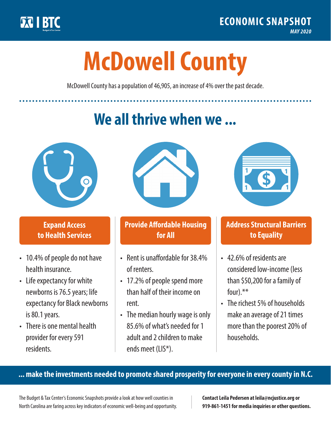

**1**

# **McDowell County**

McDowell County has a population of 46,905, an increase of 4% over the past decade.

# **We all thrive when we ...**



**\$ <sup>1</sup>**

**\$ <sup>1</sup>**

#### **Expand Access to Health Services**

- 10.4% of people do not have health insurance.
- Life expectancy for white newborns is 76.5years; life expectancy for Black newborns is 80.1 years.
- There is one mental health provider for every 591 residents.



## **Provide Affordable Housing for All**

- Rent is unaffordable for 38.4% of renters.
- 17.2% of people spend more than half of their income on rent.
- The median hourly wage is only 85.6% of what's needed for 1 adult and 2 children to make ends meet (LIS\*).



## **Address Structural Barriers to Equality**

- 42.6% of residents are considered low-income (less than \$50,200 for a family of four).\*\*
- The richest 5% of households make an average of 21 times more than the poorest 20% of households.

#### **... make the investments needed to promote shared prosperity for everyone in every county in N.C.**

The Budget & Tax Center's Economic Snapshots provide a look at how well counties in North Carolina are faring across key indicators of economic well-being and opportunity.